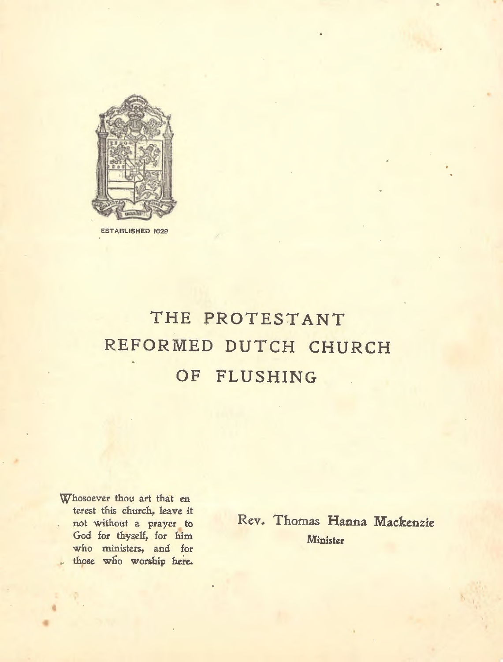

**ESTABLISHED 1628** 

# **THE PROTEST ANT REFORMED DUTCH CHURCH OF FLUSHING**

Whosoever thou art that en terest this church, leave it not without a prayer to God for thyself, for him who ministers, and for those who worship here.

•

Rev. Thomas **Hanna Mackenzie**  Minister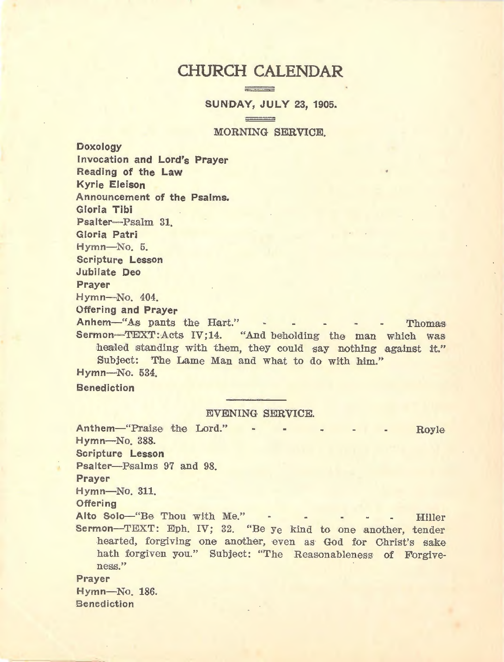## CHURCH CALENDAR  $\frac{1}{2}$

 $\equiv$ 

**SUNDAY, JULY 23, 1905.** 

MORNING SERVICE.

Doxology Invocation and Lord's Prayer Reading of the Law Kyrie Eleison Announcement of the Psalms. Gloria Tibi Psalter--- Psalm 31. Gloria Patri Hymn-No. 5. Scripture Lesson Jubilate Deo Prayer Hymn-No. 404. Offering and Prayer

Anhem-"As pants the Hart." - - - - - Thomas Sermon-'IEXT:Acts IV;14. "And beholding the man which was healed standing with them, they could say nothing against it." Subject: The Lame Man and what to do with him." Hymn-No. 534.

Benediction

EVENING SERVICE.

Anthem-"Praise the Lord." -Hymn-No. 388. Scripture Lesson Psalter-Psalms 97 and 98. Prayer Hymn-No. 311. **Offering** Royle Alto Solo-"Be Thou with Me." - - - - - Hiller Sermon-TEXT: Eph. IV; 32. "Be ye kind to one another, tender hearted, forgiving one another, even as God for Christ's sake hath forgiven you." Subject: "The Reasonableness of Forgiveness." Prayer Hymn-No. 186. **Benediction**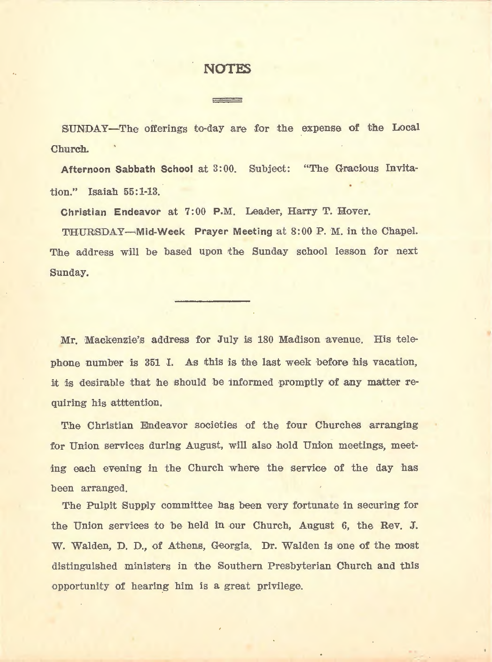### **NOTF.S**

SUNDAY-The offerings to-day are for the expense of the Local Churc:h.

Afternoon Sabbath School at 3:00. Subject: "The Gracious Invitation." Isaiah 55:1-13.

Christian Endeavor at 7:00 P.M. Leader, Harry T. Hover.

THURSDAY-Mid-Week Prayer Meeting at 8:00 P. M. in the Chapel. The address will be based upon the Sunday school lesson for next Sunday.

Mr. Mackenzie's address for July is 180 Madison avenue. His telephone number is 351 I. As this is the last week before his vacation, it is desirable that he should be informed promptly of any matter requiring his atttention.

'

The Christian Endeavor societies of the four Churches arranging for Union services during August, will also hold Union meetings, meeting each evening in the Church where the service of the day has been arranged.

The Pulpit Supply committee has been very fortunate in securing for the Union services to be held in our Church, August 6, the Rev. J. W. Walden, D. D., of Athens, Georgia. Dr. Walden is one of the most distinguished ministers in the Southern Presbyterian Church and this opportunity of hearing him is a great privilege.